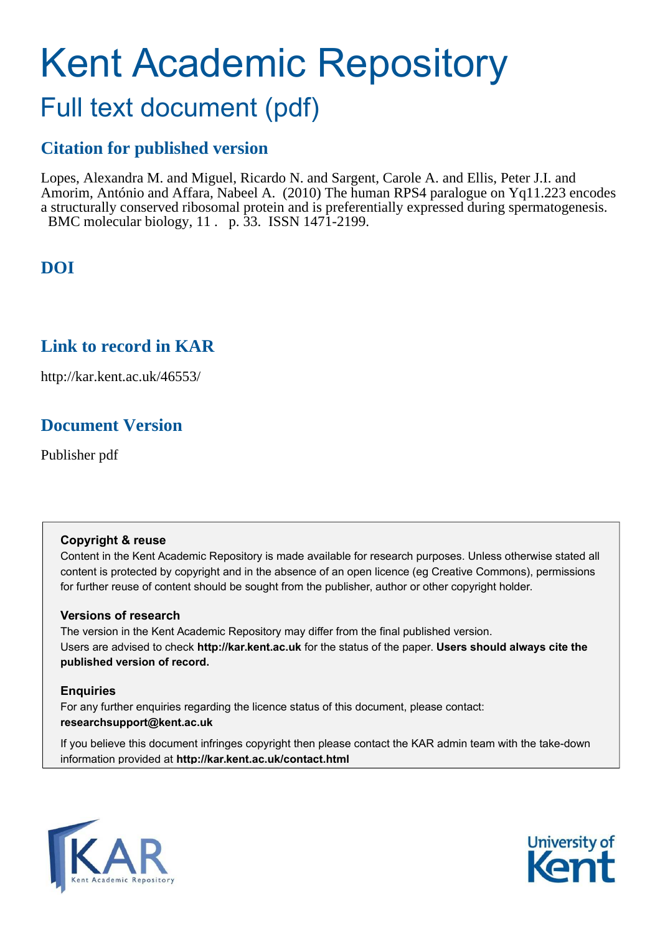# Kent Academic Repository

# Full text document (pdf)

# **Citation for published version**

Lopes, Alexandra M. and Miguel, Ricardo N. and Sargent, Carole A. and Ellis, Peter J.I. and Amorim, António and Affara, Nabeel A. (2010) The human RPS4 paralogue on Yq11.223 encodes a structurally conserved ribosomal protein and is preferentially expressed during spermatogenesis. BMC molecular biology, 11 . p. 33. ISSN 1471-2199.

# **DOI**

### **Link to record in KAR**

http://kar.kent.ac.uk/46553/

## **Document Version**

Publisher pdf

#### **Copyright & reuse**

Content in the Kent Academic Repository is made available for research purposes. Unless otherwise stated all content is protected by copyright and in the absence of an open licence (eg Creative Commons), permissions for further reuse of content should be sought from the publisher, author or other copyright holder.

#### **Versions of research**

The version in the Kent Academic Repository may differ from the final published version. Users are advised to check **http://kar.kent.ac.uk** for the status of the paper. **Users should always cite the published version of record.**

#### **Enquiries**

For any further enquiries regarding the licence status of this document, please contact: **researchsupport@kent.ac.uk**

If you believe this document infringes copyright then please contact the KAR admin team with the take-down information provided at **http://kar.kent.ac.uk/contact.html**



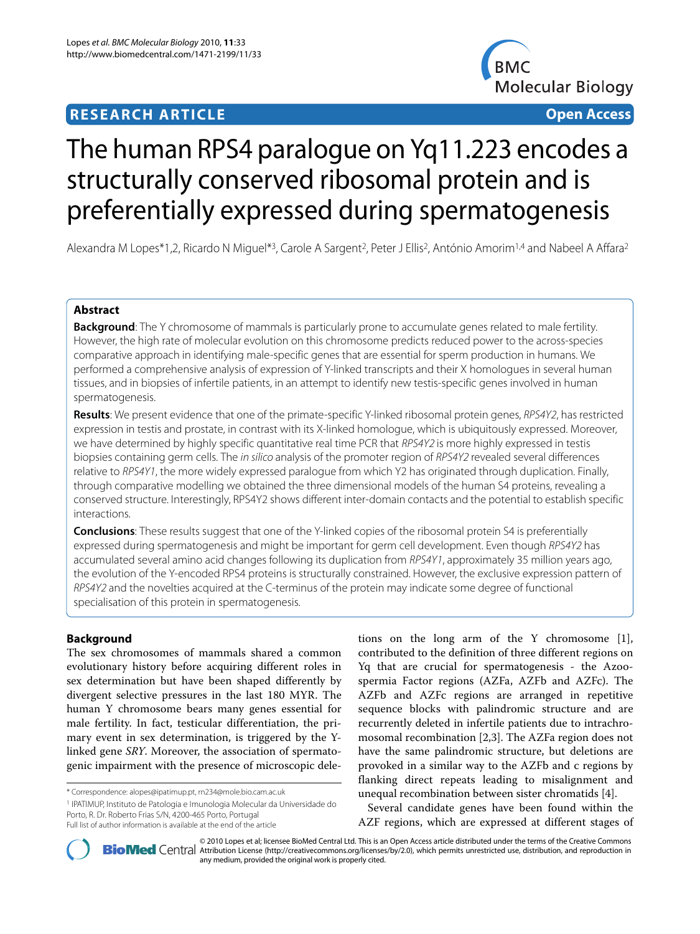### **RESEARCH ARTICLE Open Access**



# The human RPS4 paralogue on Yq11.223 encodes a structurally conserved ribosomal protein and is preferentially expressed during spermatogenesis

Alexandra M Lopes\*1,2, Ricardo N Miquel\*<sup>3</sup>, Carole A Sargent<sup>2</sup>, Peter J Ellis<sup>2</sup>, António Amorim<sup>1,4</sup> and Nabeel A Affara<sup>2</sup>

#### **Abstract**

**Background**: The Y chromosome of mammals is particularly prone to accumulate genes related to male fertility. However, the high rate of molecular evolution on this chromosome predicts reduced power to the across-species comparative approach in identifying male-specific genes that are essential for sperm production in humans. We performed a comprehensive analysis of expression of Y-linked transcripts and their X homologues in several human tissues, and in biopsies of infertile patients, in an attempt to identify new testis-specific genes involved in human spermatogenesis.

**Results**: We present evidence that one of the primate-specific Y-linked ribosomal protein genes, RPS4Y2, has restricted expression in testis and prostate, in contrast with its X-linked homologue, which is ubiquitously expressed. Moreover, we have determined by highly specific quantitative real time PCR that RPS4Y2 is more highly expressed in testis biopsies containing germ cells. The in silico analysis of the promoter region of RPS4Y2 revealed several differences relative to RPS4Y1, the more widely expressed paralogue from which Y2 has originated through duplication. Finally, through comparative modelling we obtained the three dimensional models of the human S4 proteins, revealing a conserved structure. Interestingly, RPS4Y2 shows different inter-domain contacts and the potential to establish specific interactions.

**Conclusions**: These results suggest that one of the Y-linked copies of the ribosomal protein S4 is preferentially expressed during spermatogenesis and might be important for germ cell development. Even though RPS4Y2 has accumulated several amino acid changes following its duplication from RPS4Y1, approximately 35 million years ago, the evolution of the Y-encoded RPS4 proteins is structurally constrained. However, the exclusive expression pattern of RPS4Y2 and the novelties acquired at the C-terminus of the protein may indicate some degree of functional specialisation of this protein in spermatogenesis.

#### **Background**

The sex chromosomes of mammals shared a common evolutionary history before acquiring different roles in sex determination but have been shaped differently by divergent selective pressures in the last 180 MYR. The human Y chromosome bears many genes essential for male fertility. In fact, testicular differentiation, the primary event in sex determination, is triggered by the Ylinked gene SRY. Moreover, the association of spermatogenic impairment with the presence of microscopic dele-

1 IPATIMUP, Instituto de Patologia e Imunologia Molecular da Universidade do Porto, R. Dr. Roberto Frias S/N, 4200-465 Porto, Portugal

tions on the long arm of the Y chromosome [\[1](#page-10-0)], contributed to the definition of three different regions on Yq that are crucial for spermatogenesis - the Azoospermia Factor regions (AZFa, AZFb and AZFc). The AZFb and AZFc regions are arranged in repetitive sequence blocks with palindromic structure and are recurrently deleted in infertile patients due to intrachromosomal recombination [[2,](#page-10-1)[3\]](#page-10-2). The AZFa region does not have the same palindromic structure, but deletions are provoked in a similar way to the AZFb and c regions by flanking direct repeats leading to misalignment and unequal recombination between sister chromatids [[4\]](#page-10-3).

Several candidate genes have been found within the AZF regions, which are expressed at different stages of



**[BioMed](http://www.biomedcentral.com/)** Central Attribution License (http://creativecommons.org/licenses/by/2.0), which permits unrestricted use, distribution, and reproduction in © 2010 Lopes et al; licensee BioMed Central Ltd. This is an Open Access article distributed under the terms of the Creative Commons any medium, provided the original work is properly cited.

<sup>\*</sup> Correspondence: alopes@ipatimup.pt, rn234@mole.bio.cam.ac.uk

Full list of author information is available at the end of the article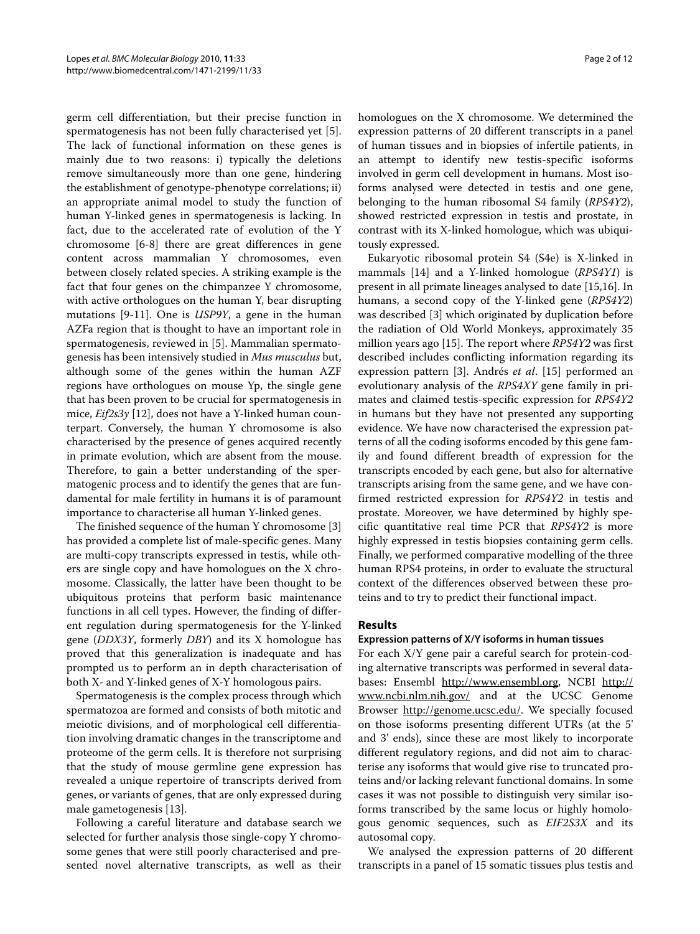germ cell differentiation, but their precise function in spermatogenesis has not been fully characterised yet [\[5](#page-10-4)]. The lack of functional information on these genes is mainly due to two reasons: i) typically the deletions remove simultaneously more than one gene, hindering the establishment of genotype-phenotype correlations; ii) an appropriate animal model to study the function of human Y-linked genes in spermatogenesis is lacking. In fact, due to the accelerated rate of evolution of the Y chromosome [\[6](#page-10-5)-[8\]](#page-10-6) there are great differences in gene content across mammalian Y chromosomes, even between closely related species. A striking example is the fact that four genes on the chimpanzee Y chromosome, with active orthologues on the human Y, bear disrupting mutations [\[9](#page-10-7)-[11\]](#page-10-8). One is *USP9Y*, a gene in the human AZFa region that is thought to have an important role in spermatogenesis, reviewed in [\[5](#page-10-4)]. Mammalian spermatogenesis has been intensively studied in Mus musculus but, although some of the genes within the human AZF regions have orthologues on mouse Yp, the single gene that has been proven to be crucial for spermatogenesis in mice, Eif2s3y [\[12](#page-10-9)], does not have a Y-linked human counterpart. Conversely, the human Y chromosome is also characterised by the presence of genes acquired recently in primate evolution, which are absent from the mouse. Therefore, to gain a better understanding of the spermatogenic process and to identify the genes that are fundamental for male fertility in humans it is of paramount importance to characterise all human Y-linked genes.

The finished sequence of the human Y chromosome [\[3](#page-10-2)] has provided a complete list of male-specific genes. Many are multi-copy transcripts expressed in testis, while others are single copy and have homologues on the X chromosome. Classically, the latter have been thought to be ubiquitous proteins that perform basic maintenance functions in all cell types. However, the finding of different regulation during spermatogenesis for the Y-linked gene (DDX3Y, formerly DBY) and its X homologue has proved that this generalization is inadequate and has prompted us to perform an in depth characterisation of both X- and Y-linked genes of X-Y homologous pairs.

Spermatogenesis is the complex process through which spermatozoa are formed and consists of both mitotic and meiotic divisions, and of morphological cell differentiation involving dramatic changes in the transcriptome and proteome of the germ cells. It is therefore not surprising that the study of mouse germline gene expression has revealed a unique repertoire of transcripts derived from genes, or variants of genes, that are only expressed during male gametogenesis [[13\]](#page-10-10).

Following a careful literature and database search we selected for further analysis those single-copy Y chromosome genes that were still poorly characterised and presented novel alternative transcripts, as well as their homologues on the X chromosome. We determined the expression patterns of 20 different transcripts in a panel of human tissues and in biopsies of infertile patients, in an attempt to identify new testis-specific isoforms involved in germ cell development in humans. Most isoforms analysed were detected in testis and one gene, belonging to the human ribosomal S4 family (RPS4Y2), showed restricted expression in testis and prostate, in contrast with its X-linked homologue, which was ubiquitously expressed.

Eukaryotic ribosomal protein S4 (S4e) is X-linked in mammals [\[14](#page-10-11)] and a Y-linked homologue (RPS4Y1) is present in all primate lineages analysed to date [\[15](#page-10-12)[,16](#page-10-13)]. In humans, a second copy of the Y-linked gene (RPS4Y2) was described [\[3](#page-10-2)] which originated by duplication before the radiation of Old World Monkeys, approximately 35 million years ago [[15\]](#page-10-12). The report where RPS4Y2 was first described includes conflicting information regarding its expression pattern [[3\]](#page-10-2). Andrés et al. [\[15](#page-10-12)] performed an evolutionary analysis of the RPS4XY gene family in primates and claimed testis-specific expression for RPS4Y2 in humans but they have not presented any supporting evidence. We have now characterised the expression patterns of all the coding isoforms encoded by this gene family and found different breadth of expression for the transcripts encoded by each gene, but also for alternative transcripts arising from the same gene, and we have confirmed restricted expression for RPS4Y2 in testis and prostate. Moreover, we have determined by highly specific quantitative real time PCR that RPS4Y2 is more highly expressed in testis biopsies containing germ cells. Finally, we performed comparative modelling of the three human RPS4 proteins, in order to evaluate the structural context of the differences observed between these proteins and to try to predict their functional impact.

#### **Results**

#### **Expression patterns of X/Y isoforms in human tissues**

For each X/Y gene pair a careful search for protein-coding alternative transcripts was performed in several databases: Ensembl [http://www.ensembl.org,](http://www.ensembl.org) NCBI [http://](http://www.ncbi.nlm.nih.gov/) [www.ncbi.nlm.nih.gov/](http://www.ncbi.nlm.nih.gov/) and at the UCSC Genome Browser <http://genome.ucsc.edu/>. We specially focused on those isoforms presenting different UTRs (at the 5' and 3' ends), since these are most likely to incorporate different regulatory regions, and did not aim to characterise any isoforms that would give rise to truncated proteins and/or lacking relevant functional domains. In some cases it was not possible to distinguish very similar isoforms transcribed by the same locus or highly homologous genomic sequences, such as EIF2S3X and its autosomal copy.

We analysed the expression patterns of 20 different transcripts in a panel of 15 somatic tissues plus testis and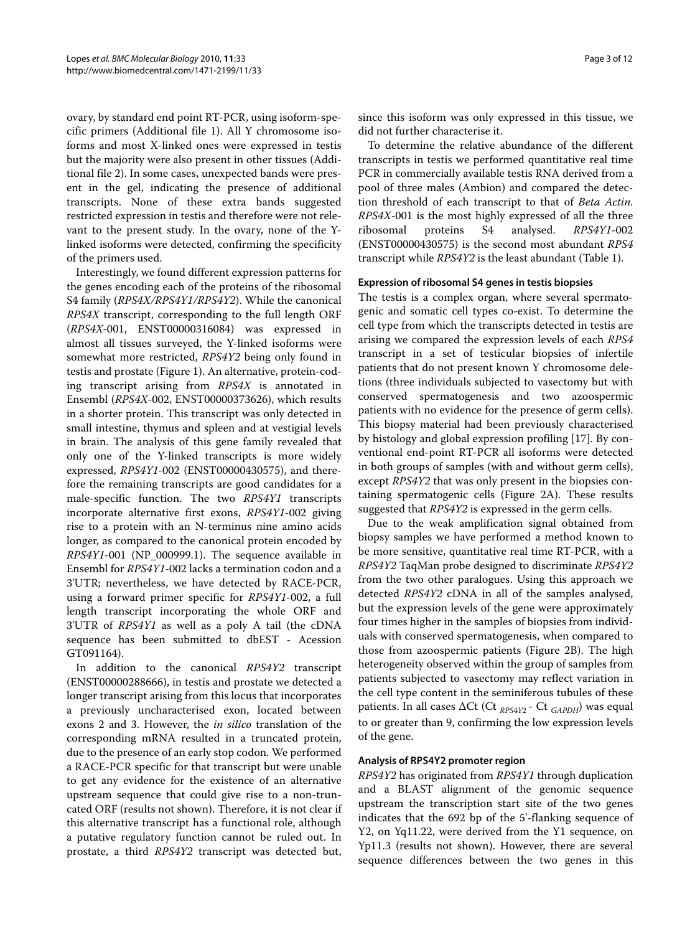<span id="page-3-0"></span>ovary, by standard end point RT-PCR, using isoform-specific primers (Additional file [1\)](#page-10-14). All Y chromosome isoforms and most X-linked ones were expressed in testis but the majority were also present in other tissues (Additional file [2](#page-10-15)). In some cases, unexpected bands were present in the gel, indicating the presence of additional transcripts. None of these extra bands suggested restricted expression in testis and therefore were not relevant to the present study. In the ovary, none of the Ylinked isoforms were detected, confirming the specificity of the primers used.

Interestingly, we found different expression patterns for the genes encoding each of the proteins of the ribosomal S4 family (RPS4X/RPS4Y1/RPS4Y2). While the canonical RPS4X transcript, corresponding to the full length ORF (RPS4X-001, ENST00000316084) was expressed in almost all tissues surveyed, the Y-linked isoforms were somewhat more restricted, RPS4Y2 being only found in testis and prostate (Figure [1\)](#page-3-0). An alternative, protein-coding transcript arising from RPS4X is annotated in Ensembl (RPS4X-002, ENST00000373626), which results in a shorter protein. This transcript was only detected in small intestine, thymus and spleen and at vestigial levels in brain. The analysis of this gene family revealed that only one of the Y-linked transcripts is more widely expressed, RPS4Y1-002 (ENST00000430575), and therefore the remaining transcripts are good candidates for a male-specific function. The two RPS4Y1 transcripts incorporate alternative first exons, RPS4Y1-002 giving rise to a protein with an N-terminus nine amino acids longer, as compared to the canonical protein encoded by RPS4Y1-001 (NP\_000999.1). The sequence available in Ensembl for RPS4Y1-002 lacks a termination codon and a 3'UTR; nevertheless, we have detected by RACE-PCR, using a forward primer specific for RPS4Y1-002, a full length transcript incorporating the whole ORF and 3'UTR of RPS4Y1 as well as a poly A tail (the cDNA sequence has been submitted to dbEST - Acession GT091164).

In addition to the canonical RPS4Y2 transcript (ENST00000288666), in testis and prostate we detected a longer transcript arising from this locus that incorporates a previously uncharacterised exon, located between exons 2 and 3. However, the in silico translation of the corresponding mRNA resulted in a truncated protein, due to the presence of an early stop codon. We performed a RACE-PCR specific for that transcript but were unable to get any evidence for the existence of an alternative upstream sequence that could give rise to a non-truncated ORF (results not shown). Therefore, it is not clear if this alternative transcript has a functional role, although a putative regulatory function cannot be ruled out. In prostate, a third RPS4Y2 transcript was detected but, since this isoform was only expressed in this tissue, we did not further characterise it.

To determine the relative abundance of the different transcripts in testis we performed quantitative real time PCR in commercially available testis RNA derived from a pool of three males (Ambion) and compared the detection threshold of each transcript to that of Beta Actin. RPS4X-001 is the most highly expressed of all the three ribosomal proteins S4 analysed. RPS4Y1-002 (ENST00000430575) is the second most abundant RPS4 transcript while RPS4Y2 is the least abundant (Table 1).

#### **Expression of ribosomal S4 genes in testis biopsies**

The testis is a complex organ, where several spermatogenic and somatic cell types co-exist. To determine the cell type from which the transcripts detected in testis are arising we compared the expression levels of each RPS4 transcript in a set of testicular biopsies of infertile patients that do not present known Y chromosome deletions (three individuals subjected to vasectomy but with conserved spermatogenesis and two azoospermic patients with no evidence for the presence of germ cells). This biopsy material had been previously characterised by histology and global expression profiling [\[17\]](#page-10-16). By conventional end-point RT-PCR all isoforms were detected in both groups of samples (with and without germ cells), except RPS4Y2 that was only present in the biopsies containing spermatogenic cells (Figure [2A](#page-4-0)). These results suggested that RPS4Y2 is expressed in the germ cells.

Due to the weak amplification signal obtained from biopsy samples we have performed a method known to be more sensitive, quantitative real time RT-PCR, with a RPS4Y2 TaqMan probe designed to discriminate RPS4Y2 from the two other paralogues. Using this approach we detected RPS4Y2 cDNA in all of the samples analysed, but the expression levels of the gene were approximately four times higher in the samples of biopsies from individuals with conserved spermatogenesis, when compared to those from azoospermic patients (Figure [2](#page-4-0)B). The high heterogeneity observed within the group of samples from patients subjected to vasectomy may reflect variation in the cell type content in the seminiferous tubules of these patients. In all cases  $\Delta$ Ct (Ct <sub>RPS4Y2</sub> - Ct <sub>GAPDH</sub>) was equal to or greater than 9, confirming the low expression levels of the gene.

#### **Analysis of RPS4Y2 promoter region**

RPS4Y2 has originated from RPS4Y1 through duplication and a BLAST alignment of the genomic sequence upstream the transcription start site of the two genes indicates that the 692 bp of the 5'-flanking sequence of Y2, on Yq11.22, were derived from the Y1 sequence, on Yp11.3 (results not shown). However, there are several sequence differences between the two genes in this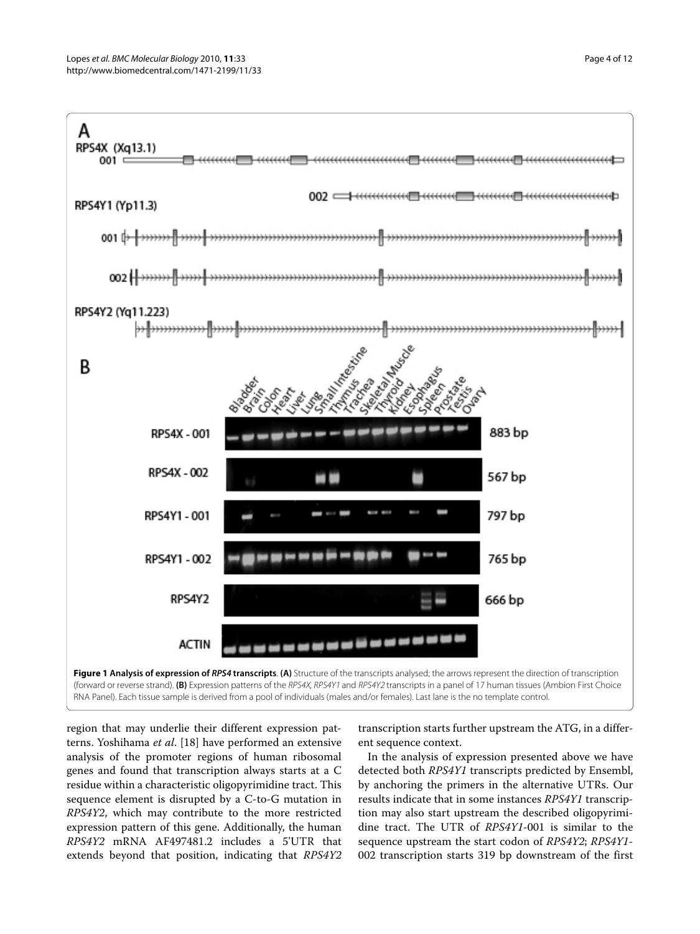

<span id="page-4-0"></span>region that may underlie their different expression patterns. Yoshihama et al. [\[18](#page-10-17)] have performed an extensive analysis of the promoter regions of human ribosomal genes and found that transcription always starts at a C residue within a characteristic oligopyrimidine tract. This sequence element is disrupted by a C-to-G mutation in RPS4Y2, which may contribute to the more restricted expression pattern of this gene. Additionally, the human RPS4Y2 mRNA AF497481.2 includes a 5'UTR that extends beyond that position, indicating that RPS4Y2

transcription starts further upstream the ATG, in a different sequence context.

In the analysis of expression presented above we have detected both RPS4Y1 transcripts predicted by Ensembl, by anchoring the primers in the alternative UTRs. Our results indicate that in some instances RPS4Y1 transcription may also start upstream the described oligopyrimidine tract. The UTR of RPS4Y1-001 is similar to the sequence upstream the start codon of RPS4Y2; RPS4Y1-002 transcription starts 319 bp downstream of the first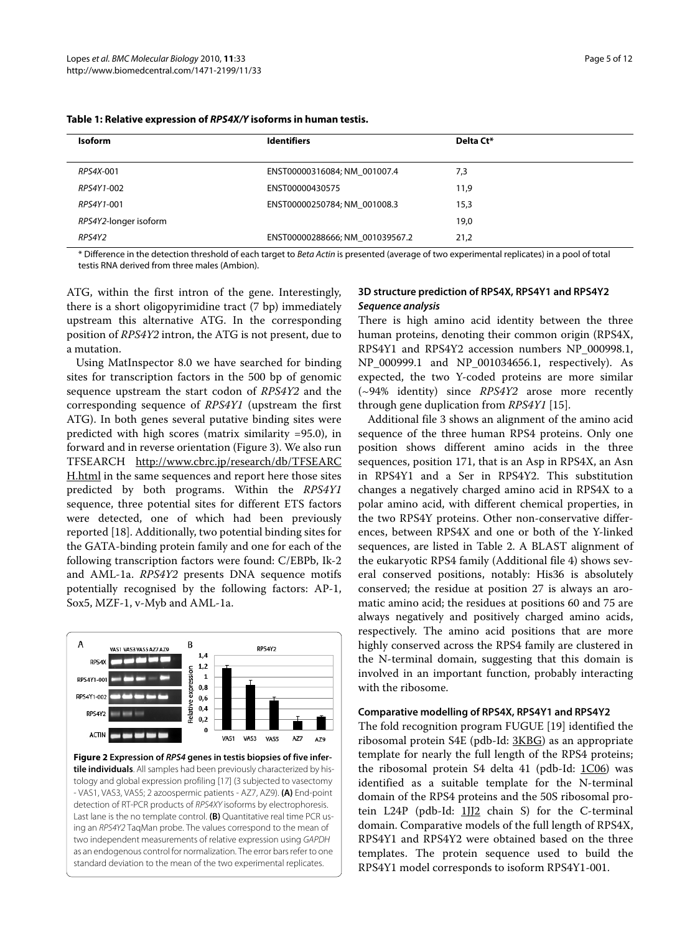| <b>Isoform</b>        | <b>Identifiers</b>              | Delta Ct* |  |
|-----------------------|---------------------------------|-----------|--|
| RPS4X-001             | ENST00000316084; NM 001007.4    | 7,3       |  |
| RPS4Y1-002            | ENST00000430575                 | 11,9      |  |
| RPS4Y1-001            | ENST00000250784; NM 001008.3    | 15,3      |  |
| RPS4Y2-longer isoform |                                 | 19,0      |  |
| RPS4Y2                | ENST00000288666; NM 001039567.2 | 21,2      |  |

<span id="page-5-0"></span>**Table 1: Relative expression of RPS4X/Y isoforms in human testis.**

\* Difference in the detection threshold of each target to Beta Actin is presented (average of two experimental replicates) in a pool of total testis RNA derived from three males (Ambion).

ATG, within the first intron of the gene. Interestingly, there is a short oligopyrimidine tract (7 bp) immediately upstream this alternative ATG. In the corresponding position of RPS4Y2 intron, the ATG is not present, due to a mutation.

Using MatInspector 8.0 we have searched for binding sites for transcription factors in the 500 bp of genomic sequence upstream the start codon of RPS4Y2 and the corresponding sequence of RPS4Y1 (upstream the first ATG). In both genes several putative binding sites were predicted with high scores (matrix similarity =95.0), in forward and in reverse orientation (Figure [3](#page-5-0)). We also run TFSEARCH [http://www.cbrc.jp/research/db/TFSEARC](http://www.cbrc.jp/research/db/TFSEARCH.html) [H.html](http://www.cbrc.jp/research/db/TFSEARCH.html) in the same sequences and report here those sites predicted by both programs. Within the RPS4Y1 sequence, three potential sites for different ETS factors were detected, one of which had been previously reported [[18](#page-10-17)]. Additionally, two potential binding sites for the GATA-binding protein family and one for each of the following transcription factors were found: C/EBPb, Ik-2 and AML-1a. RPS4Y2 presents DNA sequence motifs potentially recognised by the following factors: AP-1, Sox5, MZF-1, v-Myb and AML-1a.



**Figure 2 Expression of RPS4 genes in testis biopsies of five infertile individuals**. All samples had been previously characterized by histology and global expression profiling [\[17](#page-10-16)] (3 subjected to vasectomy - VAS1, VAS3, VAS5; 2 azoospermic patients - AZ7, AZ9). **(A)** End-point detection of RT-PCR products of RPS4XY isoforms by electrophoresis. Last lane is the no template control. **(B)** Quantitative real time PCR using an RPS4Y2 TaqMan probe. The values correspond to the mean of two independent measurements of relative expression using GAPDH as an endogenous control for normalization. The error bars refer to one standard deviation to the mean of the two experimental replicates.

#### **3D structure prediction of RPS4X, RPS4Y1 and RPS4Y2 Sequence analysis**

There is high amino acid identity between the three human proteins, denoting their common origin (RPS4X, RPS4Y1 and RPS4Y2 accession numbers NP\_000998.1, NP\_000999.1 and NP\_001034656.1, respectively). As expected, the two Y-coded proteins are more similar  $(\sim)$ 94% identity) since RPS4Y2 arose more recently through gene duplication from RPS4Y1 [\[15](#page-10-12)].

Additional file [3](#page-10-18) shows an alignment of the amino acid sequence of the three human RPS4 proteins. Only one position shows different amino acids in the three sequences, position 171, that is an Asp in RPS4X, an Asn in RPS4Y1 and a Ser in RPS4Y2. This substitution changes a negatively charged amino acid in RPS4X to a polar amino acid, with different chemical properties, in the two RPS4Y proteins. Other non-conservative differences, between RPS4X and one or both of the Y-linked sequences, are listed in Table 2. A BLAST alignment of the eukaryotic RPS4 family (Additional file [4](#page-10-19)) shows several conserved positions, notably: His36 is absolutely conserved; the residue at position 27 is always an aromatic amino acid; the residues at positions 60 and 75 are always negatively and positively charged amino acids, respectively. The amino acid positions that are more highly conserved across the RPS4 family are clustered in the N-terminal domain, suggesting that this domain is involved in an important function, probably interacting with the ribosome.

#### **Comparative modelling of RPS4X, RPS4Y1 and RPS4Y2**

The fold recognition program FUGUE [\[19](#page-10-20)] identified the ribosomal protein S4E (pdb-Id: [3KBG](http://www.rcsb.org/pdb/cgi/explore.cgi?pdbId=3KBG)) as an appropriate template for nearly the full length of the RPS4 proteins; the ribosomal protein S4 delta 41 (pdb-Id: [1C06](http://www.rcsb.org/pdb/cgi/explore.cgi?pdbId=1C06)) was identified as a suitable template for the N-terminal domain of the RPS4 proteins and the 50S ribosomal protein L24P (pdb-Id: 1112 chain S) for the C-terminal domain. Comparative models of the full length of RPS4X, RPS4Y1 and RPS4Y2 were obtained based on the three templates. The protein sequence used to build the RPS4Y1 model corresponds to isoform RPS4Y1-001.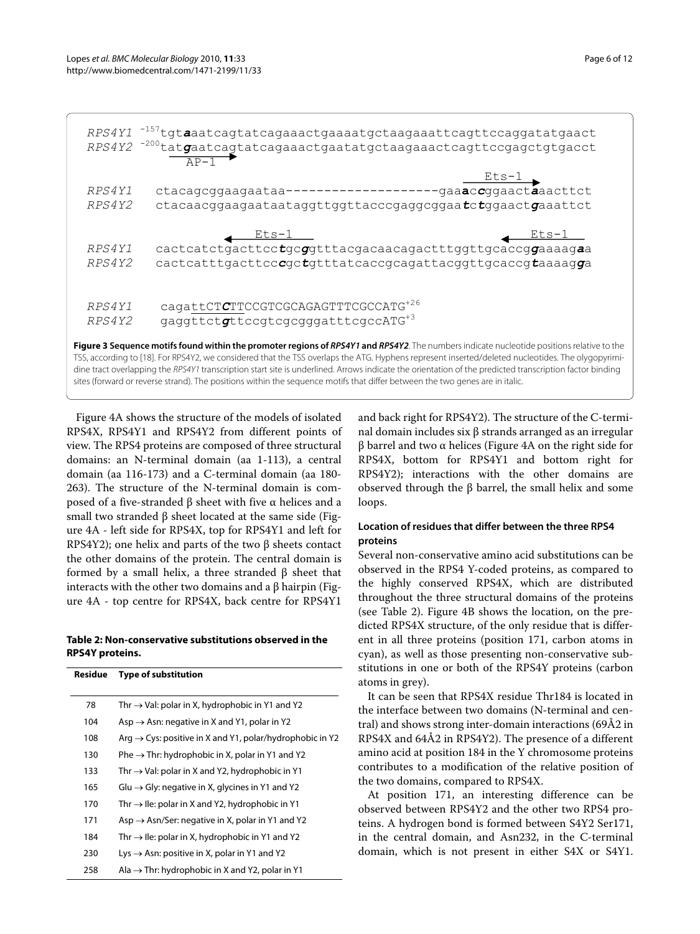<span id="page-6-0"></span>

|        | RPS4Y1 <sup>-157</sup> tgtaaatcagtatcagaaactgaaaatgctaagaaattcagttccaggatatgaact<br>RPS4Y2 <sup>-200</sup> tatgaatcagtatcagaaactgaatatgctaagaaactcagttccgagctgtgacct<br>$\overline{AD-1}$                                                                                                                                                                                                                                                                   |
|--------|-------------------------------------------------------------------------------------------------------------------------------------------------------------------------------------------------------------------------------------------------------------------------------------------------------------------------------------------------------------------------------------------------------------------------------------------------------------|
|        | <u>Ets-1</u>                                                                                                                                                                                                                                                                                                                                                                                                                                                |
| RPS4Y1 | ctacagcggaagaataa--------------------gaaaccggaactaaacttct                                                                                                                                                                                                                                                                                                                                                                                                   |
| RPS4Y2 | ctacaacggaagaataataggttggttacccgaggcggaatctggaactgaaattct                                                                                                                                                                                                                                                                                                                                                                                                   |
|        | <u> Ets-1</u><br><u> Ets-1 —</u>                                                                                                                                                                                                                                                                                                                                                                                                                            |
| RPS4Y1 | cactcatctgacttcctgcggtttacgacaacagactttggttgcaccggaaaagaa                                                                                                                                                                                                                                                                                                                                                                                                   |
| RPS4Y2 | cactcatttgacttcccgctgtttatcaccgcagattacggttgcaccgtaaaagqa                                                                                                                                                                                                                                                                                                                                                                                                   |
|        | cagattCTCTTCCGTCGCAGAGTTTCGCCATG <sup>+26</sup>                                                                                                                                                                                                                                                                                                                                                                                                             |
| RPS4Y1 |                                                                                                                                                                                                                                                                                                                                                                                                                                                             |
| RPS4Y2 | gaggttctgttccgtcgcqqqqatttcqccATG <sup>+3</sup>                                                                                                                                                                                                                                                                                                                                                                                                             |
|        | Figure 3 Sequence motifs found within the promoter regions of RPS4Y1 and RPS4Y2. The numbers indicate nucleotide positions relative to the<br>TSS, according to [18]. For RPS4Y2, we considered that the TSS overlaps the ATG. Hyphens represent inserted/deleted nucleotides. The olygopyrimi-<br>ding tract overlapping the PPC/V1 transcription start site is underlined. Arrows indicate the exientation of the prodicted transcription factor binding. |

dine tract overlapping the RPS4Y1 transcription start site is underlined. Arrows indicate the orientation of the predicted transcription factor binding sites (forward or reverse strand). The positions within the sequence motifs that differ between the two genes are in italic.

Figure [4A](#page-6-0) shows the structure of the models of isolated RPS4X, RPS4Y1 and RPS4Y2 from different points of view. The RPS4 proteins are composed of three structural domains: an N-terminal domain (aa 1-113), a central domain (aa 116-173) and a C-terminal domain (aa 180- 263). The structure of the N-terminal domain is composed of a five-stranded β sheet with five α helices and a small two stranded β sheet located at the same side (Figure [4A](#page-6-0) - left side for RPS4X, top for RPS4Y1 and left for RPS4Y2); one helix and parts of the two β sheets contact the other domains of the protein. The central domain is formed by a small helix, a three stranded β sheet that interacts with the other two domains and a β hairpin (Figure [4](#page-6-0)A - top centre for RPS4X, back centre for RPS4Y1

#### **Table 2: Non-conservative substitutions observed in the RPS4Y proteins.**

| <b>Residue</b> | <b>Type of substitution</b>                                          |
|----------------|----------------------------------------------------------------------|
|                |                                                                      |
| 78             | Thr $\rightarrow$ Val: polar in X, hydrophobic in Y1 and Y2          |
| 104            | Asp $\rightarrow$ Asn: negative in X and Y1, polar in Y2             |
| 108            | Arg $\rightarrow$ Cys: positive in X and Y1, polar/hydrophobic in Y2 |
| 130            | Phe $\rightarrow$ Thr: hydrophobic in X, polar in Y1 and Y2          |
| 133            | Thr $\rightarrow$ Val: polar in X and Y2, hydrophobic in Y1          |
| 165            | Glu $\rightarrow$ Gly: negative in X, glycines in Y1 and Y2          |
| 170            | Thr $\rightarrow$ Ile: polar in X and Y2, hydrophobic in Y1          |
| 171            | Asp $\rightarrow$ Asn/Ser: negative in X, polar in Y1 and Y2         |
| 184            | Thr $\rightarrow$ Ile: polar in X, hydrophobic in Y1 and Y2          |
| 230            | Lys $\rightarrow$ Asn: positive in X, polar in Y1 and Y2             |
| 258            | Ala $\rightarrow$ Thr: hydrophobic in X and Y2, polar in Y1          |

and back right for RPS4Y2). The structure of the C-terminal domain includes six β strands arranged as an irregular β barrel and two α helices (Figure [4](#page-6-0)A on the right side for RPS4X, bottom for RPS4Y1 and bottom right for RPS4Y2); interactions with the other domains are observed through the β barrel, the small helix and some loops.

#### **Location of residues that differ between the three RPS4 proteins**

Several non-conservative amino acid substitutions can be observed in the RPS4 Y-coded proteins, as compared to the highly conserved RPS4X, which are distributed throughout the three structural domains of the proteins (see Table 2). Figure [4B](#page-6-0) shows the location, on the predicted RPS4X structure, of the only residue that is different in all three proteins (position 171, carbon atoms in cyan), as well as those presenting non-conservative substitutions in one or both of the RPS4Y proteins (carbon atoms in grey).

It can be seen that RPS4X residue Thr184 is located in the interface between two domains (N-terminal and central) and shows strong inter-domain interactions (69Å2 in RPS4X and 64Å2 in RPS4Y2). The presence of a different amino acid at position 184 in the Y chromosome proteins contributes to a modification of the relative position of the two domains, compared to RPS4X.

At position 171, an interesting difference can be observed between RPS4Y2 and the other two RPS4 proteins. A hydrogen bond is formed between S4Y2 Ser171, in the central domain, and Asn232, in the C-terminal domain, which is not present in either S4X or S4Y1.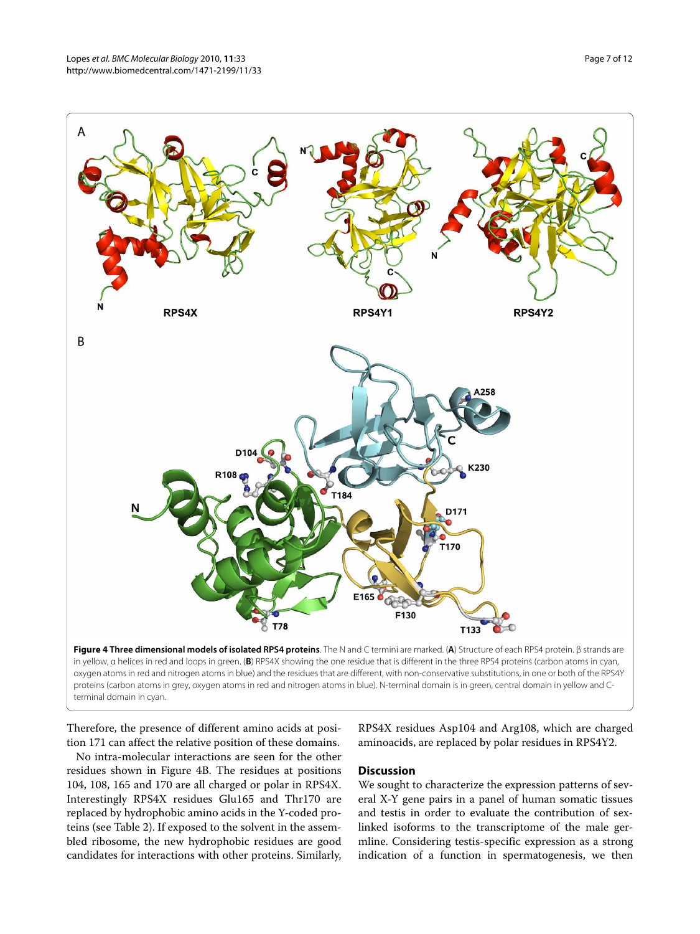



No intra-molecular interactions are seen for the other residues shown in Figure [4B](#page-6-0). The residues at positions 104, 108, 165 and 170 are all charged or polar in RPS4X. Interestingly RPS4X residues Glu165 and Thr170 are replaced by hydrophobic amino acids in the Y-coded proteins (see Table 2). If exposed to the solvent in the assembled ribosome, the new hydrophobic residues are good candidates for interactions with other proteins. Similarly,

RPS4X residues Asp104 and Arg108, which are charged aminoacids, are replaced by polar residues in RPS4Y2.

#### **Discussion**

We sought to characterize the expression patterns of several X-Y gene pairs in a panel of human somatic tissues and testis in order to evaluate the contribution of sexlinked isoforms to the transcriptome of the male germline. Considering testis-specific expression as a strong indication of a function in spermatogenesis, we then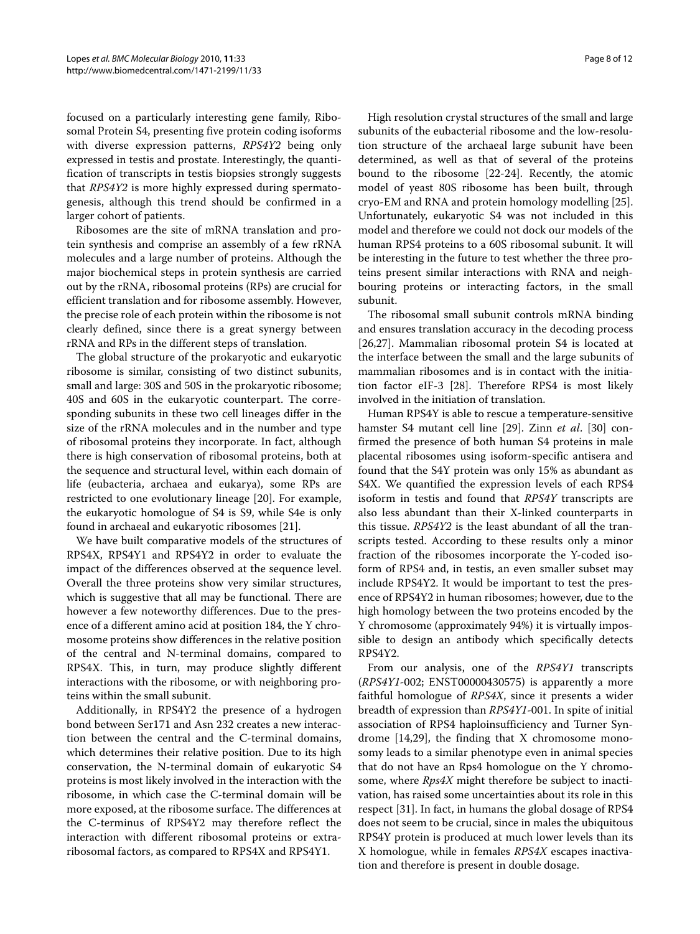focused on a particularly interesting gene family, Ribosomal Protein S4, presenting five protein coding isoforms with diverse expression patterns, RPS4Y2 being only expressed in testis and prostate. Interestingly, the quantification of transcripts in testis biopsies strongly suggests that RPS4Y2 is more highly expressed during spermatogenesis, although this trend should be confirmed in a larger cohort of patients.

Ribosomes are the site of mRNA translation and protein synthesis and comprise an assembly of a few rRNA molecules and a large number of proteins. Although the major biochemical steps in protein synthesis are carried out by the rRNA, ribosomal proteins (RPs) are crucial for efficient translation and for ribosome assembly. However, the precise role of each protein within the ribosome is not clearly defined, since there is a great synergy between rRNA and RPs in the different steps of translation.

The global structure of the prokaryotic and eukaryotic ribosome is similar, consisting of two distinct subunits, small and large: 30S and 50S in the prokaryotic ribosome; 40S and 60S in the eukaryotic counterpart. The corresponding subunits in these two cell lineages differ in the size of the rRNA molecules and in the number and type of ribosomal proteins they incorporate. In fact, although there is high conservation of ribosomal proteins, both at the sequence and structural level, within each domain of life (eubacteria, archaea and eukarya), some RPs are restricted to one evolutionary lineage [[20\]](#page-10-21). For example, the eukaryotic homologue of S4 is S9, while S4e is only found in archaeal and eukaryotic ribosomes [[21\]](#page-10-22).

We have built comparative models of the structures of RPS4X, RPS4Y1 and RPS4Y2 in order to evaluate the impact of the differences observed at the sequence level. Overall the three proteins show very similar structures, which is suggestive that all may be functional. There are however a few noteworthy differences. Due to the presence of a different amino acid at position 184, the Y chromosome proteins show differences in the relative position of the central and N-terminal domains, compared to RPS4X. This, in turn, may produce slightly different interactions with the ribosome, or with neighboring proteins within the small subunit.

Additionally, in RPS4Y2 the presence of a hydrogen bond between Ser171 and Asn 232 creates a new interaction between the central and the C-terminal domains, which determines their relative position. Due to its high conservation, the N-terminal domain of eukaryotic S4 proteins is most likely involved in the interaction with the ribosome, in which case the C-terminal domain will be more exposed, at the ribosome surface. The differences at the C-terminus of RPS4Y2 may therefore reflect the interaction with different ribosomal proteins or extraribosomal factors, as compared to RPS4X and RPS4Y1.

High resolution crystal structures of the small and large subunits of the eubacterial ribosome and the low-resolution structure of the archaeal large subunit have been determined, as well as that of several of the proteins bound to the ribosome [[22](#page-10-23)[-24](#page-10-24)]. Recently, the atomic model of yeast 80S ribosome has been built, through cryo-EM and RNA and protein homology modelling [\[25](#page-10-25)]. Unfortunately, eukaryotic S4 was not included in this model and therefore we could not dock our models of the human RPS4 proteins to a 60S ribosomal subunit. It will be interesting in the future to test whether the three proteins present similar interactions with RNA and neighbouring proteins or interacting factors, in the small subunit.

The ribosomal small subunit controls mRNA binding and ensures translation accuracy in the decoding process [[26,](#page-10-26)[27\]](#page-10-27). Mammalian ribosomal protein S4 is located at the interface between the small and the large subunits of mammalian ribosomes and is in contact with the initiation factor eIF-3 [[28\]](#page-10-28). Therefore RPS4 is most likely involved in the initiation of translation.

Human RPS4Y is able to rescue a temperature-sensitive hamster S4 mutant cell line [\[29](#page-10-29)]. Zinn et al. [[30\]](#page-10-30) confirmed the presence of both human S4 proteins in male placental ribosomes using isoform-specific antisera and found that the S4Y protein was only 15% as abundant as S4X. We quantified the expression levels of each RPS4 isoform in testis and found that RPS4Y transcripts are also less abundant than their X-linked counterparts in this tissue. RPS4Y2 is the least abundant of all the transcripts tested. According to these results only a minor fraction of the ribosomes incorporate the Y-coded isoform of RPS4 and, in testis, an even smaller subset may include RPS4Y2. It would be important to test the presence of RPS4Y2 in human ribosomes; however, due to the high homology between the two proteins encoded by the Y chromosome (approximately 94%) it is virtually impossible to design an antibody which specifically detects RPS4Y2.

From our analysis, one of the RPS4Y1 transcripts  $(RPS4Y1-002; ENST00000430575)$  is apparently a more faithful homologue of RPS4X, since it presents a wider breadth of expression than RPS4Y1-001. In spite of initial association of RPS4 haploinsufficiency and Turner Syndrome [\[14,](#page-10-11)[29\]](#page-10-29), the finding that X chromosome monosomy leads to a similar phenotype even in animal species that do not have an Rps4 homologue on the Y chromosome, where Rps4X might therefore be subject to inactivation, has raised some uncertainties about its role in this respect [[31\]](#page-10-31). In fact, in humans the global dosage of RPS4 does not seem to be crucial, since in males the ubiquitous RPS4Y protein is produced at much lower levels than its X homologue, while in females RPS4X escapes inactivation and therefore is present in double dosage.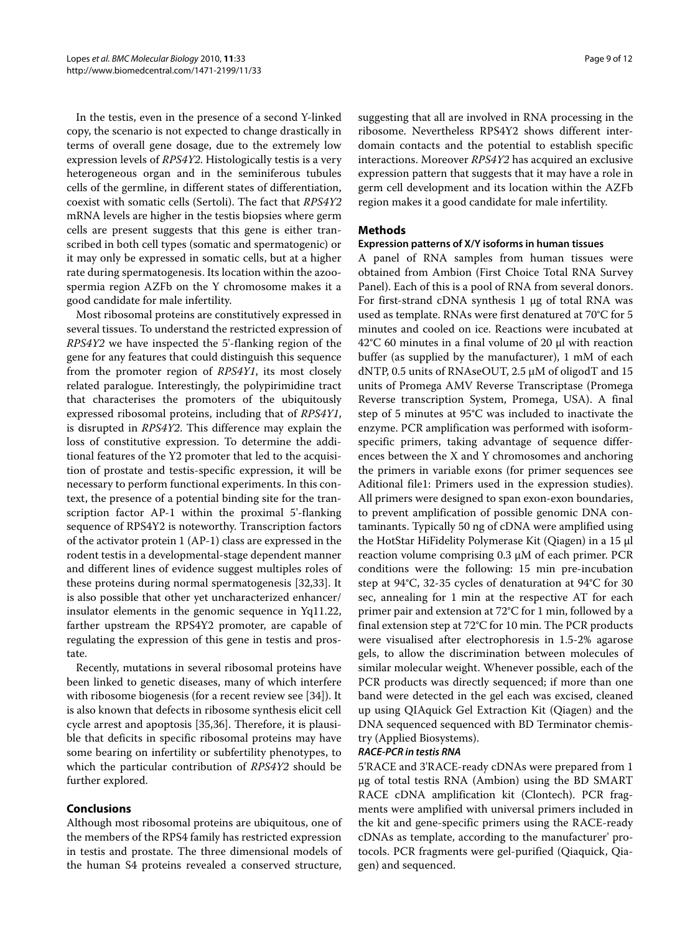In the testis, even in the presence of a second Y-linked copy, the scenario is not expected to change drastically in terms of overall gene dosage, due to the extremely low expression levels of RPS4Y2. Histologically testis is a very heterogeneous organ and in the seminiferous tubules cells of the germline, in different states of differentiation, coexist with somatic cells (Sertoli). The fact that RPS4Y2 mRNA levels are higher in the testis biopsies where germ cells are present suggests that this gene is either transcribed in both cell types (somatic and spermatogenic) or it may only be expressed in somatic cells, but at a higher rate during spermatogenesis. Its location within the azoospermia region AZFb on the Y chromosome makes it a good candidate for male infertility.

Most ribosomal proteins are constitutively expressed in several tissues. To understand the restricted expression of RPS4Y2 we have inspected the 5'-flanking region of the gene for any features that could distinguish this sequence from the promoter region of RPS4Y1, its most closely related paralogue. Interestingly, the polypirimidine tract that characterises the promoters of the ubiquitously expressed ribosomal proteins, including that of RPS4Y1, is disrupted in RPS4Y2. This difference may explain the loss of constitutive expression. To determine the additional features of the Y2 promoter that led to the acquisition of prostate and testis-specific expression, it will be necessary to perform functional experiments. In this context, the presence of a potential binding site for the transcription factor AP-1 within the proximal 5'-flanking sequence of RPS4Y2 is noteworthy. Transcription factors of the activator protein 1 (AP-1) class are expressed in the rodent testis in a developmental-stage dependent manner and different lines of evidence suggest multiples roles of these proteins during normal spermatogenesis [[32,](#page-10-32)[33\]](#page-11-0). It is also possible that other yet uncharacterized enhancer/ insulator elements in the genomic sequence in Yq11.22, farther upstream the RPS4Y2 promoter, are capable of regulating the expression of this gene in testis and prostate.

Recently, mutations in several ribosomal proteins have been linked to genetic diseases, many of which interfere with ribosome biogenesis (for a recent review see [\[34](#page-11-1)]). It is also known that defects in ribosome synthesis elicit cell cycle arrest and apoptosis [\[35](#page-11-2)[,36](#page-11-3)]. Therefore, it is plausible that deficits in specific ribosomal proteins may have some bearing on infertility or subfertility phenotypes, to which the particular contribution of RPS4Y2 should be further explored.

#### **Conclusions**

Although most ribosomal proteins are ubiquitous, one of the members of the RPS4 family has restricted expression in testis and prostate. The three dimensional models of the human S4 proteins revealed a conserved structure,

suggesting that all are involved in RNA processing in the ribosome. Nevertheless RPS4Y2 shows different interdomain contacts and the potential to establish specific interactions. Moreover RPS4Y2 has acquired an exclusive expression pattern that suggests that it may have a role in germ cell development and its location within the AZFb region makes it a good candidate for male infertility.

#### **Methods**

#### **Expression patterns of X/Y isoforms in human tissues**

A panel of RNA samples from human tissues were obtained from Ambion (First Choice Total RNA Survey Panel). Each of this is a pool of RNA from several donors. For first-strand cDNA synthesis 1 μg of total RNA was used as template. RNAs were first denatured at 70°C for 5 minutes and cooled on ice. Reactions were incubated at 42°C 60 minutes in a final volume of 20 μl with reaction buffer (as supplied by the manufacturer), 1 mM of each dNTP, 0.5 units of RNAseOUT, 2.5 μM of oligodT and 15 units of Promega AMV Reverse Transcriptase (Promega Reverse transcription System, Promega, USA). A final step of 5 minutes at 95°C was included to inactivate the enzyme. PCR amplification was performed with isoformspecific primers, taking advantage of sequence differences between the X and Y chromosomes and anchoring the primers in variable exons (for primer sequences see Aditional file1: Primers used in the expression studies). All primers were designed to span exon-exon boundaries, to prevent amplification of possible genomic DNA contaminants. Typically 50 ng of cDNA were amplified using the HotStar HiFidelity Polymerase Kit (Qiagen) in a 15 μl reaction volume comprising 0.3 μM of each primer. PCR conditions were the following: 15 min pre-incubation step at 94°C, 32-35 cycles of denaturation at 94°C for 30 sec, annealing for 1 min at the respective AT for each primer pair and extension at 72°C for 1 min, followed by a final extension step at 72°C for 10 min. The PCR products were visualised after electrophoresis in 1.5-2% agarose gels, to allow the discrimination between molecules of similar molecular weight. Whenever possible, each of the PCR products was directly sequenced; if more than one band were detected in the gel each was excised, cleaned up using QIAquick Gel Extraction Kit (Qiagen) and the DNA sequenced sequenced with BD Terminator chemistry (Applied Biosystems).

#### **RACE-PCR in testis RNA**

5'RACE and 3'RACE-ready cDNAs were prepared from 1 μg of total testis RNA (Ambion) using the BD SMART RACE cDNA amplification kit (Clontech). PCR fragments were amplified with universal primers included in the kit and gene-specific primers using the RACE-ready cDNAs as template, according to the manufacturer' protocols. PCR fragments were gel-purified (Qiaquick, Qiagen) and sequenced.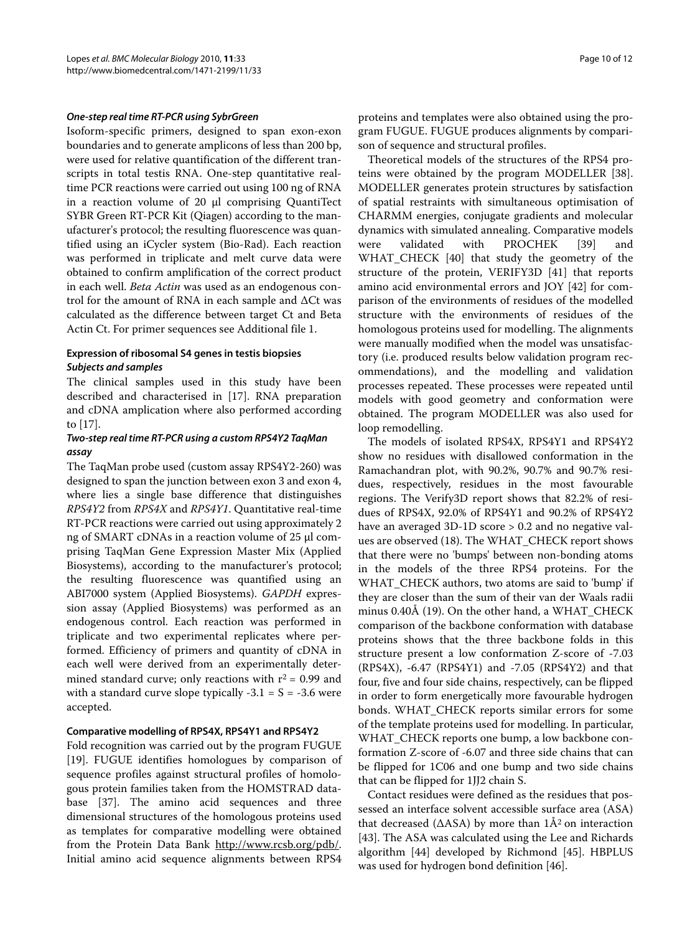#### **One-step real time RT-PCR using SybrGreen**

<span id="page-10-19"></span><span id="page-10-18"></span><span id="page-10-15"></span><span id="page-10-14"></span>Isoform-specific primers, designed to span exon-exon boundaries and to generate amplicons of less than 200 bp, were used for relative quantification of the different transcripts in total testis RNA. One-step quantitative realtime PCR reactions were carried out using 100 ng of RNA in a reaction volume of 20 μl comprising QuantiTect SYBR Green RT-PCR Kit (Qiagen) according to the manufacturer's protocol; the resulting fluorescence was quantified using an iCycler system (Bio-Rad). Each reaction was performed in triplicate and melt curve data were obtained to confirm amplification of the correct product in each well. Beta Actin was used as an endogenous control for the amount of RNA in each sample and ΔCt was calculated as the difference between target Ct and Beta Actin Ct. For primer sequences see Additional file [1](#page-10-14).

#### **Expression of ribosomal S4 genes in testis biopsies Subjects and samples**

The clinical samples used in this study have been described and characterised in [\[17\]](#page-10-16). RNA preparation and cDNA amplication where also performed according to [\[17](#page-10-16)].

#### **Two-step real time RT-PCR using a custom RPS4Y2 TaqMan assay**

<span id="page-10-1"></span><span id="page-10-0"></span>The TaqMan probe used (custom assay RPS4Y2-260) was designed to span the junction between exon 3 and exon 4, where lies a single base difference that distinguishes RPS4Y2 from RPS4X and RPS4Y1. Quantitative real-time RT-PCR reactions were carried out using approximately 2 ng of SMART cDNAs in a reaction volume of 25 μl comprising TaqMan Gene Expression Master Mix (Applied Biosystems), according to the manufacturer's protocol; the resulting fluorescence was quantified using an ABI7000 system (Applied Biosystems). GAPDH expression assay (Applied Biosystems) was performed as an endogenous control. Each reaction was performed in triplicate and two experimental replicates where performed. Efficiency of primers and quantity of cDNA in each well were derived from an experimentally determined standard curve; only reactions with  $r^2 = 0.99$  and with a standard curve slope typically  $-3.1 = S = -3.6$  were accepted.

#### <span id="page-10-4"></span><span id="page-10-3"></span><span id="page-10-2"></span>**Comparative modelling of RPS4X, RPS4Y1 and RPS4Y2**

<span id="page-10-7"></span><span id="page-10-6"></span><span id="page-10-5"></span>Fold recognition was carried out by the program FUGUE [[19\]](#page-10-20). FUGUE identifies homologues by comparison of sequence profiles against structural profiles of homologous protein families taken from the HOMSTRAD database [[37](#page-11-4)]. The amino acid sequences and three dimensional structures of the homologous proteins used as templates for comparative modelling were obtained from the Protein Data Bank <http://www.rcsb.org/pdb/>. Initial amino acid sequence alignments between RPS4 <span id="page-10-8"></span>proteins and templates were also obtained using the program FUGUE. FUGUE produces alignments by comparison of sequence and structural profiles.

<span id="page-10-12"></span><span id="page-10-11"></span><span id="page-10-10"></span><span id="page-10-9"></span>Theoretical models of the structures of the RPS4 proteins were obtained by the program MODELLER [\[38](#page-11-5)]. MODELLER generates protein structures by satisfaction of spatial restraints with simultaneous optimisation of CHARMM energies, conjugate gradients and molecular dynamics with simulated annealing. Comparative models were validated with PROCHEK [\[39\]](#page-11-6) and WHAT\_CHECK [\[40](#page-11-7)] that study the geometry of the structure of the protein, VERIFY3D [[41](#page-11-8)] that reports amino acid environmental errors and JOY [\[42](#page-11-9)] for comparison of the environments of residues of the modelled structure with the environments of residues of the homologous proteins used for modelling. The alignments were manually modified when the model was unsatisfactory (i.e. produced results below validation program recommendations), and the modelling and validation processes repeated. These processes were repeated until models with good geometry and conformation were obtained. The program MODELLER was also used for loop remodelling.

<span id="page-10-25"></span><span id="page-10-24"></span><span id="page-10-23"></span><span id="page-10-22"></span><span id="page-10-21"></span><span id="page-10-20"></span><span id="page-10-17"></span><span id="page-10-16"></span><span id="page-10-13"></span>The models of isolated RPS4X, RPS4Y1 and RPS4Y2 show no residues with disallowed conformation in the Ramachandran plot, with 90.2%, 90.7% and 90.7% residues, respectively, residues in the most favourable regions. The Verify3D report shows that 82.2% of residues of RPS4X, 92.0% of RPS4Y1 and 90.2% of RPS4Y2 have an averaged 3D-1D score > 0.2 and no negative values are observed (18). The WHAT\_CHECK report shows that there were no 'bumps' between non-bonding atoms in the models of the three RPS4 proteins. For the WHAT\_CHECK authors, two atoms are said to 'bump' if they are closer than the sum of their van der Waals radii minus 0.40Å (19). On the other hand, a WHAT\_CHECK comparison of the backbone conformation with database proteins shows that the three backbone folds in this structure present a low conformation Z-score of -7.03 (RPS4X), -6.47 (RPS4Y1) and -7.05 (RPS4Y2) and that four, five and four side chains, respectively, can be flipped in order to form energetically more favourable hydrogen bonds. WHAT\_CHECK reports similar errors for some of the template proteins used for modelling. In particular, WHAT\_CHECK reports one bump, a low backbone conformation Z-score of -6.07 and three side chains that can be flipped for 1C06 and one bump and two side chains that can be flipped for 1JJ2 chain S.

<span id="page-10-32"></span><span id="page-10-31"></span><span id="page-10-30"></span><span id="page-10-29"></span><span id="page-10-28"></span><span id="page-10-27"></span><span id="page-10-26"></span>Contact residues were defined as the residues that possessed an interface solvent accessible surface area (ASA) that decreased ( $\triangle$ ASA) by more than  $1\AA$ <sup>2</sup> on interaction [[43\]](#page-11-10). The ASA was calculated using the Lee and Richards algorithm [[44\]](#page-11-11) developed by Richmond [\[45\]](#page-11-12). HBPLUS was used for hydrogen bond definition [[46](#page-11-13)].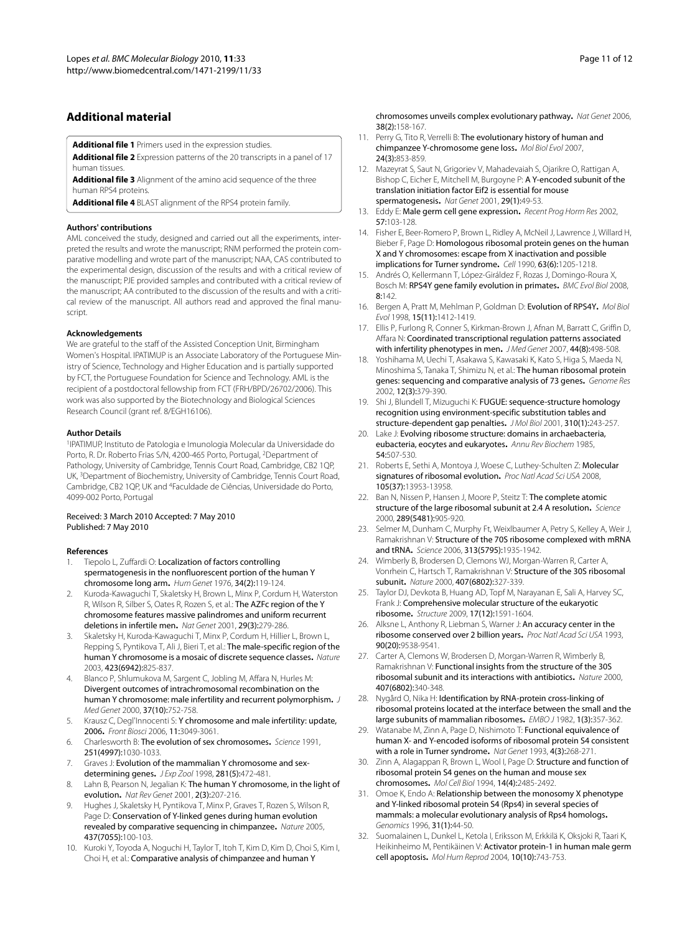#### <span id="page-11-0"></span>**Additional material**

**[Additional file 1](http://www.biomedcentral.com/content/supplementary/1471-2199-11-33-S1.XLS)** Primers used in the expression studies.

<span id="page-11-1"></span>**[Additional file 2](http://www.biomedcentral.com/content/supplementary/1471-2199-11-33-S2.PDF)** Expression patterns of the 20 transcripts in a panel of 17 human tissues.

<span id="page-11-2"></span>**[Additional file 3](http://www.biomedcentral.com/content/supplementary/1471-2199-11-33-S3.PDF)** Alignment of the amino acid sequence of the three human RPS4 proteins.

**[Additional file 4](http://www.biomedcentral.com/content/supplementary/1471-2199-11-33-S4.PDF)** BLAST alignment of the RPS4 protein family.

#### <span id="page-11-3"></span>**Authors' contributions**

<span id="page-11-4"></span>AML conceived the study, designed and carried out all the experiments, interpreted the results and wrote the manuscript; RNM performed the protein comparative modelling and wrote part of the manuscript; NAA, CAS contributed to the experimental design, discussion of the results and with a critical review of the manuscript; PJE provided samples and contributed with a critical review of the manuscript; AA contributed to the discussion of the results and with a critical review of the manuscript. All authors read and approved the final manuscript.

#### <span id="page-11-7"></span><span id="page-11-6"></span><span id="page-11-5"></span>**Acknowledgements**

<span id="page-11-9"></span><span id="page-11-8"></span>We are grateful to the staff of the Assisted Conception Unit, Birmingham Women's Hospital. IPATIMUP is an Associate Laboratory of the Portuguese Ministry of Science, Technology and Higher Education and is partially supported by FCT, the Portuguese Foundation for Science and Technology. AML is the recipient of a postdoctoral fellowship from FCT (FRH/BPD/26702/2006). This work was also supported by the Biotechnology and Biological Sciences Research Council (grant ref. 8/EGH16106).

#### <span id="page-11-11"></span><span id="page-11-10"></span>**Author Details**

<span id="page-11-12"></span><sup>1</sup>IPATIMUP, Instituto de Patologia e Imunologia Molecular da Universidade do Porto, R. Dr. Roberto Frias S/N, 4200-465 Porto, Portugal, <sup>2</sup>Department of Pathology, University of Cambridge, Tennis Court Road, Cambridge, CB2 1QP, UK, <sup>3</sup>Department of Biochemistry, University of Cambridge, Tennis Court Road, Cambridge, CB2 1QP, UK and <sup>4</sup>Faculdade de Ciências, Universidade do Porto, 4099-002 Porto, Portugal

#### <span id="page-11-13"></span>Received: 3 March 2010 Accepted: 7 May 2010 Published: 7 May 2010

#### **References**

- 1. Tiepolo L, Zuffardi O: Localization of factors controlling spermatogenesis in the nonfluorescent portion of the human Y chromosome long arm**.** Hum Genet 1976, 34(2):119-124.
- 2. Kuroda-Kawaguchi T, Skaletsky H, Brown L, Minx P, Cordum H, Waterston R, Wilson R, Silber S, Oates R, Rozen S, et al.: The AZFc region of the Y chromosome features massive palindromes and uniform recurrent deletions in infertile men**.** Nat Genet 2001, 29(3):279-286.
- 3. Skaletsky H, Kuroda-Kawaguchi T, Minx P, Cordum H, Hillier L, Brown L, Repping S, Pyntikova T, Ali J, Bieri T, et al.: The male-specific region of the human Y chromosome is a mosaic of discrete sequence classes**.** Nature 2003, 423(6942):825-837.
- 4. Blanco P, Shlumukova M, Sargent C, Jobling M, Affara N, Hurles M: Divergent outcomes of intrachromosomal recombination on the human Y chromosome: male infertility and recurrent polymorphism**.** J Med Genet 2000, 37(10):752-758.
- 5. Krausz C, Degl'Innocenti S: Y chromosome and male infertility: update, 2006**.** Front Biosci 2006, 11:3049-3061.
- 6. Charlesworth B: The evolution of sex chromosomes**.** Science 1991, 251(4997):1030-1033.
- 7. Graves J: Evolution of the mammalian Y chromosome and sexdetermining genes**.** J Exp Zool 1998, 281(5):472-481.
- 8. Lahn B, Pearson N, Jegalian K: The human Y chromosome, in the light of evolution**[.](http://www.ncbi.nlm.nih.gov/entrez/query.fcgi?cmd=Retrieve&db=PubMed&dopt=Abstract&list_uids=11256072)** Nat Rev Genet 2001, 2(3):207-216.
- Hughes J, Skaletsky H, Pyntikova T, Minx P, Graves T, Rozen S, Wilson R, Page D: Conservation of Y-linked genes during human evolution revealed by comparative sequencing in chimpanzee**.** Nature 2005, 437(7055):100-103.
- 10. Kuroki Y, Toyoda A, Noguchi H, Taylor T, Itoh T, Kim D, Kim D, Choi S, Kim I, Choi H, et al.: Comparative analysis of chimpanzee and human Y

chromosomes unveils complex evolutionary pathway**.** Nat Genet 2006, 38(2):158-167.

- 11. Perry G, Tito R, Verrelli B: The evolutionary history of human and chimpanzee Y-chromosome gene loss**.** Mol Biol Evol 2007, 24(3):853-859.
- 12. Mazeyrat S, Saut N, Grigoriev V, Mahadevaiah S, Ojarikre O, Rattigan A, Bishop C, Eicher E, Mitchell M, Burgoyne P: A Y-encoded subunit of the translation initiation factor Eif2 is essential for mouse spermatogenesis**.** Nat Genet 2001, 29(1):49-53.
- 13. Eddy E: Male germ cell gene expression**.** Recent Prog Horm Res 2002, 57:103-128.
- 14. Fisher E, Beer-Romero P, Brown L, Ridley A, McNeil J, Lawrence J, Willard H, Bieber F, Page D: Homologous ribosomal protein genes on the human X and Y chromosomes: escape from X inactivation and possible implications for Turner syndrome**.** Cell 1990, 63(6):1205-1218.
- 15. Andrés O, Kellermann T, López-Giráldez F, Rozas J, Domingo-Roura X, Bosch M: RPS4Y gene family evolution in primates**.** BMC Evol Biol 2008,  $8.142$
- 16. Bergen A, Pratt M, Mehlman P, Goldman D: Evolution of RPS4Y**[.](http://www.ncbi.nlm.nih.gov/entrez/query.fcgi?cmd=Retrieve&db=PubMed&dopt=Abstract&list_uids=12572605)** Mol Biol Evol 1998, 15(11):1412-1419.
- 17. Ellis P, Furlong R, Conner S, Kirkman-Brown J, Afnan M, Barratt C, Griffin D, Affara N: Coordinated transcriptional regulation patterns associated with infertility phenotypes in men**.** J Med Genet 2007, 44(8):498-508.
- 18. Yoshihama M, Uechi T, Asakawa S, Kawasaki K, Kato S, Higa S, Maeda N, Minoshima S, Tanaka T, Shimizu N, et al.: The human ribosomal protein genes: sequencing and comparative analysis of 73 genes**.** Genome Res 2002, 12(3):379-390.
- 19. Shi J, Blundell T, Mizuguchi K: FUGUE: sequence-structure homology recognition using environment-specific substitution tables and structure-dependent gap penalties**.** J Mol Biol 2001, 310(1):243-257.
- 20. Lake J: Evolving ribosome structure: domains in archaebacteria, eubacteria, eocytes and eukaryotes**.** Annu Rev Biochem 1985, 54:507-530.
- 21. Roberts E, Sethi A, Montoya J, Woese C, Luthey-Schulten Z: Molecular signatures of ribosomal evolution. Proc Natl Acad Sci USA 2008, 105(37):13953-13958.
- 22. Ban N, Nissen P, Hansen J, Moore P, Steitz T: The complete atomic structure of the large ribosomal subunit at 2.4 A resolution**.** Science 2000, 289(5481):905-920.
- Selmer M, Dunham C, Murphy Ft, Weixlbaumer A, Petry S, Kelley A, Weir J, Ramakrishnan V: Structure of the 70S ribosome complexed with mRNA and tRNA**[.](http://www.ncbi.nlm.nih.gov/entrez/query.fcgi?cmd=Retrieve&db=PubMed&dopt=Abstract&list_uids=16959973)** Science 2006, 313(5795):1935-1942.
- 24. Wimberly B, Brodersen D, Clemons WJ, Morgan-Warren R, Carter A, Vonrhein C, Hartsch T, Ramakrishnan V: Structure of the 30S ribosomal subunit**.** Nature 2000, 407(6802):327-339.
- 25. Taylor DJ, Devkota B, Huang AD, Topf M, Narayanan E, Sali A, Harvey SC, Frank J: Comprehensive molecular structure of the eukaryotic ribosome**[.](http://www.ncbi.nlm.nih.gov/entrez/query.fcgi?cmd=Retrieve&db=PubMed&dopt=Abstract&list_uids=20004163)** Structure 2009, 17(12):1591-1604.
- 26. Alksne L, Anthony R, Liebman S, Warner J: An accuracy center in the ribosome conserved over 2 billion years**.** Proc Natl Acad Sci USA 1993, 90(20):9538-9541.
- 27. Carter A, Clemons W, Brodersen D, Morgan-Warren R, Wimberly B, Ramakrishnan V: Functional insights from the structure of the 30S ribosomal subunit and its interactions with antibiotics**.** Nature 2000, 407(6802):340-348.
- 28. Nygård O, Nika H: Identification by RNA-protein cross-linking of ribosomal proteins located at the interface between the small and the large subunits of mammalian ribosomes**.** EMBO J 1982, 1(3):357-362.
- 29. Watanabe M, Zinn A, Page D, Nishimoto T: Functional equivalence of human X- and Y-encoded isoforms of ribosomal protein S4 consistent with a role in Turner syndrome**.** Nat Genet 1993, 4(3):268-271.
- 30. Zinn A, Alagappan R, Brown L, Wool I, Page D: Structure and function of ribosomal protein S4 genes on the human and mouse sex chromosomes**.** Mol Cell Biol 1994, 14(4):2485-2492.
- 31. Omoe K, Endo A: Relationship between the monosomy X phenotype and Y-linked ribosomal protein S4 (Rps4) in several species of mammals: a molecular evolutionary analysis of Rps4 homologs**.** Genomics 1996, 31(1):44-50.
- 32. Suomalainen L, Dunkel L, Ketola I, Eriksson M, Erkkilä K, Oksjoki R, Taari K, Heikinheimo M, Pentikäinen V: Activator protein-1 in human male germ cell apoptosis**[.](http://www.ncbi.nlm.nih.gov/entrez/query.fcgi?cmd=Retrieve&db=PubMed&dopt=Abstract&list_uids=15299089)** Mol Hum Reprod 2004, 10(10):743-753.